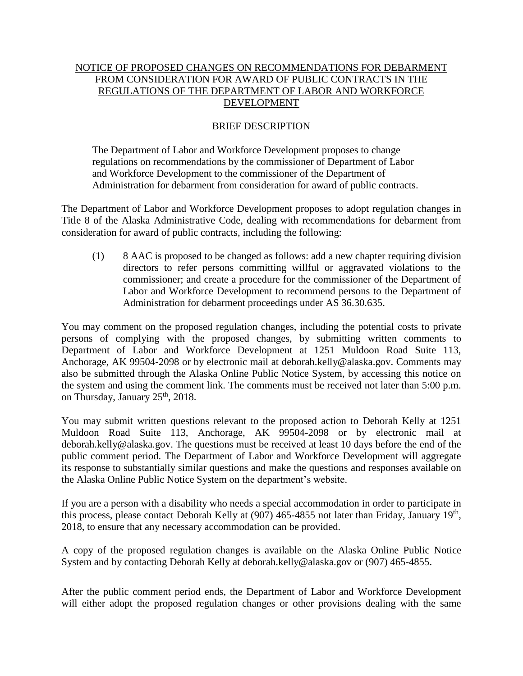## NOTICE OF PROPOSED CHANGES ON RECOMMENDATIONS FOR DEBARMENT FROM CONSIDERATION FOR AWARD OF PUBLIC CONTRACTS IN THE REGULATIONS OF THE DEPARTMENT OF LABOR AND WORKFORCE DEVELOPMENT

## BRIEF DESCRIPTION

The Department of Labor and Workforce Development proposes to change regulations on recommendations by the commissioner of Department of Labor and Workforce Development to the commissioner of the Department of Administration for debarment from consideration for award of public contracts.

The Department of Labor and Workforce Development proposes to adopt regulation changes in Title 8 of the Alaska Administrative Code, dealing with recommendations for debarment from consideration for award of public contracts, including the following:

(1) 8 AAC is proposed to be changed as follows: add a new chapter requiring division directors to refer persons committing willful or aggravated violations to the commissioner; and create a procedure for the commissioner of the Department of Labor and Workforce Development to recommend persons to the Department of Administration for debarment proceedings under AS 36.30.635.

You may comment on the proposed regulation changes, including the potential costs to private persons of complying with the proposed changes, by submitting written comments to Department of Labor and Workforce Development at 1251 Muldoon Road Suite 113, Anchorage, AK 99504-2098 or by electronic mail at deborah.kelly@alaska.gov. Comments may also be submitted through the Alaska Online Public Notice System, by accessing this notice on the system and using the comment link. The comments must be received not later than 5:00 p.m. on Thursday, January 25<sup>th</sup>, 2018.

You may submit written questions relevant to the proposed action to Deborah Kelly at 1251 Muldoon Road Suite 113, Anchorage, AK 99504-2098 or by electronic mail at deborah.kelly@alaska.gov. The questions must be received at least 10 days before the end of the public comment period. The Department of Labor and Workforce Development will aggregate its response to substantially similar questions and make the questions and responses available on the Alaska Online Public Notice System on the department's website.

If you are a person with a disability who needs a special accommodation in order to participate in this process, please contact Deborah Kelly at (907) 465-4855 not later than Friday, January 19<sup>th</sup>, 2018, to ensure that any necessary accommodation can be provided.

A copy of the proposed regulation changes is available on the Alaska Online Public Notice System and by contacting Deborah Kelly at deborah.kelly@alaska.gov or (907) 465-4855.

After the public comment period ends, the Department of Labor and Workforce Development will either adopt the proposed regulation changes or other provisions dealing with the same